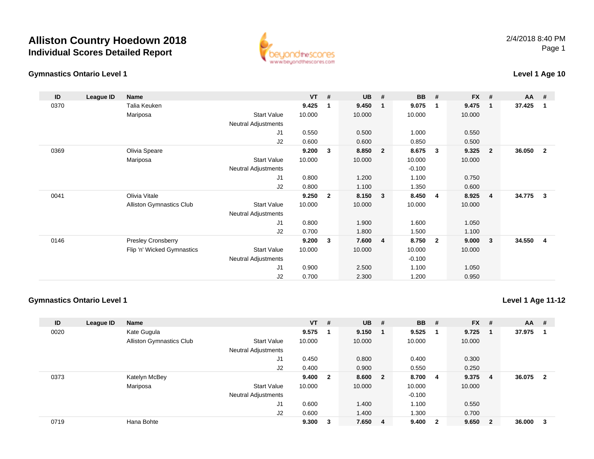## **Alliston Country Hoedown 2018Individual Scores Detailed Report**





### **Level 1 Age 10**

| ID   | League ID | Name                            |                            | $VT$ # |              | <b>UB</b> | - #            | <b>BB</b> | #                       | FX #   |                         | <b>AA</b> | - #            |
|------|-----------|---------------------------------|----------------------------|--------|--------------|-----------|----------------|-----------|-------------------------|--------|-------------------------|-----------|----------------|
| 0370 |           | Talia Keuken                    |                            | 9.425  | $\mathbf{1}$ | 9.450     | $\mathbf{1}$   | 9.075     | $\overline{\mathbf{1}}$ | 9.475  | $\overline{1}$          | 37.425    | $\mathbf{1}$   |
|      |           | Mariposa                        | <b>Start Value</b>         | 10.000 |              | 10.000    |                | 10.000    |                         | 10.000 |                         |           |                |
|      |           |                                 | Neutral Adjustments        |        |              |           |                |           |                         |        |                         |           |                |
|      |           |                                 | J1                         | 0.550  |              | 0.500     |                | 1.000     |                         | 0.550  |                         |           |                |
|      |           |                                 | J2                         | 0.600  |              | 0.600     |                | 0.850     |                         | 0.500  |                         |           |                |
| 0369 |           | Olivia Speare                   |                            | 9.200  | 3            | 8.850     | $\overline{2}$ | 8.675     | $\mathbf{3}$            | 9.325  | $\overline{\mathbf{2}}$ | 36.050    | $\overline{2}$ |
|      |           | Mariposa                        | <b>Start Value</b>         | 10.000 |              | 10.000    |                | 10.000    |                         | 10.000 |                         |           |                |
|      |           |                                 | Neutral Adjustments        |        |              |           |                | $-0.100$  |                         |        |                         |           |                |
|      |           |                                 | J <sub>1</sub>             | 0.800  |              | 1.200     |                | 1.100     |                         | 0.750  |                         |           |                |
|      |           |                                 | J2                         | 0.800  |              | 1.100     |                | 1.350     |                         | 0.600  |                         |           |                |
| 0041 |           | Olivia Vitale                   |                            | 9.250  | $\mathbf{2}$ | 8.150     | 3              | 8.450     | $\overline{4}$          | 8.925  | $\overline{4}$          | 34.775    | $\mathbf{3}$   |
|      |           | <b>Alliston Gymnastics Club</b> | <b>Start Value</b>         | 10.000 |              | 10.000    |                | 10.000    |                         | 10.000 |                         |           |                |
|      |           |                                 | <b>Neutral Adjustments</b> |        |              |           |                |           |                         |        |                         |           |                |
|      |           |                                 | J1                         | 0.800  |              | 1.900     |                | 1.600     |                         | 1.050  |                         |           |                |
|      |           |                                 | J2                         | 0.700  |              | 1.800     |                | 1.500     |                         | 1.100  |                         |           |                |
| 0146 |           | <b>Presley Cronsberry</b>       |                            | 9.200  | 3            | 7.600     | $\overline{4}$ | 8.750     | $\overline{2}$          | 9.000  | $\overline{\mathbf{3}}$ | 34.550    | $\overline{4}$ |
|      |           | Flip 'n' Wicked Gymnastics      | <b>Start Value</b>         | 10.000 |              | 10.000    |                | 10.000    |                         | 10.000 |                         |           |                |
|      |           |                                 | Neutral Adjustments        |        |              |           |                | $-0.100$  |                         |        |                         |           |                |
|      |           |                                 | J1                         | 0.900  |              | 2.500     |                | 1.100     |                         | 1.050  |                         |           |                |
|      |           |                                 | J <sub>2</sub>             | 0.700  |              | 2.300     |                | 1.200     |                         | 0.950  |                         |           |                |

#### **Gymnastics Ontario Level 1**

**Level 1 Age 11-12**

| ID   | League ID | <b>Name</b>                     |                            | $VT$ # |              | $UB$ #  | <b>BB</b> | #                       | <b>FX</b> | #                       | AA     | #                       |
|------|-----------|---------------------------------|----------------------------|--------|--------------|---------|-----------|-------------------------|-----------|-------------------------|--------|-------------------------|
| 0020 |           | Kate Gugula                     |                            | 9.575  |              | 9.150   | 9.525     |                         | 9.725     | . 1                     | 37.975 |                         |
|      |           | <b>Alliston Gymnastics Club</b> | <b>Start Value</b>         | 10.000 |              | 10.000  | 10.000    |                         | 10.000    |                         |        |                         |
|      |           |                                 | <b>Neutral Adjustments</b> |        |              |         |           |                         |           |                         |        |                         |
|      |           |                                 | J1                         | 0.450  |              | 0.800   | 0.400     |                         | 0.300     |                         |        |                         |
|      |           |                                 | J2                         | 0.400  |              | 0.900   | 0.550     |                         | 0.250     |                         |        |                         |
| 0373 |           | Katelyn McBey                   |                            | 9.400  | $\mathbf{2}$ | 8.600 2 | 8.700 4   |                         | 9.375     | -4                      | 36.075 | $\overline{\mathbf{2}}$ |
|      |           | Mariposa                        | <b>Start Value</b>         | 10.000 |              | 10.000  | 10.000    |                         | 10.000    |                         |        |                         |
|      |           |                                 | <b>Neutral Adjustments</b> |        |              |         | $-0.100$  |                         |           |                         |        |                         |
|      |           |                                 | J1                         | 0.600  |              | 1.400   | 1.100     |                         | 0.550     |                         |        |                         |
|      |           |                                 | J2                         | 0.600  |              | 1.400   | 1.300     |                         | 0.700     |                         |        |                         |
| 0719 |           | Hana Bohte                      |                            | 9.300  | 3            | 7.650 4 | 9.400     | $\overline{\mathbf{2}}$ | 9.650     | $\overline{\mathbf{2}}$ | 36,000 | -3                      |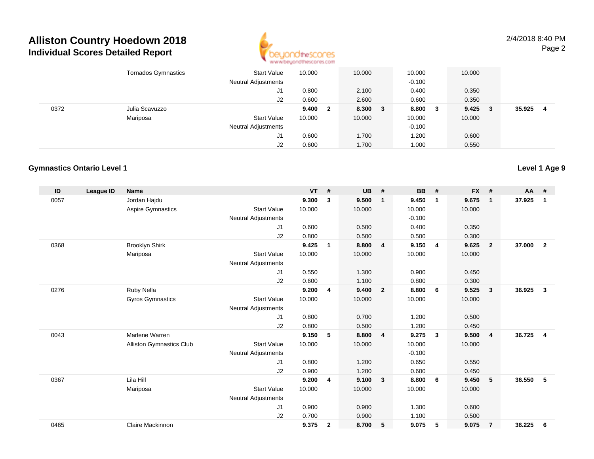## **Alliston Country Hoedown 2018Individual Scores Detailed Report**



2/4/2018 8:40 PMPage 2

|      | <b>Tornados Gymnastics</b> | <b>Start Value</b><br><b>Neutral Adjustments</b> | 10.000 |     | 10.000  | 10.000<br>$-0.100$ |     | 10.000 |   |        |   |
|------|----------------------------|--------------------------------------------------|--------|-----|---------|--------------------|-----|--------|---|--------|---|
|      |                            |                                                  |        |     |         |                    |     |        |   |        |   |
|      |                            | J1                                               | 0.800  |     | 2.100   | 0.400              |     | 0.350  |   |        |   |
|      |                            | J2                                               | 0.600  |     | 2.600   | 0.600              |     | 0.350  |   |        |   |
| 0372 | Julia Scavuzzo             |                                                  | 9.400  | - 2 | 8.300 3 | 8.800              | - 3 | 9.425  | 3 | 35.925 | 4 |
|      | Mariposa                   | <b>Start Value</b>                               | 10.000 |     | 10.000  | 10.000             |     | 10.000 |   |        |   |
|      |                            | <b>Neutral Adjustments</b>                       |        |     |         | $-0.100$           |     |        |   |        |   |
|      |                            | J1                                               | 0.600  |     | 1.700   | 1.200              |     | 0.600  |   |        |   |
|      |                            | J2                                               | 0.600  |     | 1.700   | 1.000              |     | 0.550  |   |        |   |

#### **Gymnastics Ontario Level 1**

| ID   | <b>League ID</b> | <b>Name</b>              |                            | <b>VT</b> | #            | <b>UB</b> | #                       | <b>BB</b> | #                       | <b>FX</b> | #              | <b>AA</b> | #              |
|------|------------------|--------------------------|----------------------------|-----------|--------------|-----------|-------------------------|-----------|-------------------------|-----------|----------------|-----------|----------------|
| 0057 |                  | Jordan Hajdu             |                            | 9.300     | 3            | 9.500     | $\mathbf{1}$            | 9.450     | $\mathbf 1$             | 9.675     | $\mathbf{1}$   | 37.925    | 1              |
|      |                  | Aspire Gymnastics        | <b>Start Value</b>         | 10.000    |              | 10.000    |                         | 10.000    |                         | 10.000    |                |           |                |
|      |                  |                          | <b>Neutral Adjustments</b> |           |              |           |                         | $-0.100$  |                         |           |                |           |                |
|      |                  |                          | J <sub>1</sub>             | 0.600     |              | 0.500     |                         | 0.400     |                         | 0.350     |                |           |                |
|      |                  |                          | J2                         | 0.800     |              | 0.500     |                         | 0.500     |                         | 0.300     |                |           |                |
| 0368 |                  | <b>Brooklyn Shirk</b>    |                            | 9.425     | $\mathbf 1$  | 8.800     | $\overline{4}$          | 9.150     | $\overline{4}$          | 9.625     | $\overline{2}$ | 37,000    | $\overline{2}$ |
|      |                  | Mariposa                 | <b>Start Value</b>         | 10.000    |              | 10.000    |                         | 10.000    |                         | 10.000    |                |           |                |
|      |                  |                          | <b>Neutral Adjustments</b> |           |              |           |                         |           |                         |           |                |           |                |
|      |                  |                          | J <sub>1</sub>             | 0.550     |              | 1.300     |                         | 0.900     |                         | 0.450     |                |           |                |
|      |                  |                          | J <sub>2</sub>             | 0.600     |              | 1.100     |                         | 0.800     |                         | 0.300     |                |           |                |
| 0276 |                  | Ruby Nella               |                            | 9.200     | 4            | 9.400     | $\overline{2}$          | 8.800     | 6                       | 9.525     | $\mathbf{3}$   | 36.925    | $\mathbf{3}$   |
|      |                  | <b>Gyros Gymnastics</b>  | <b>Start Value</b>         | 10.000    |              | 10.000    |                         | 10.000    |                         | 10.000    |                |           |                |
|      |                  |                          | <b>Neutral Adjustments</b> |           |              |           |                         |           |                         |           |                |           |                |
|      |                  |                          | J <sub>1</sub>             | 0.800     |              | 0.700     |                         | 1.200     |                         | 0.500     |                |           |                |
|      |                  |                          | J <sub>2</sub>             | 0.800     |              | 0.500     |                         | 1.200     |                         | 0.450     |                |           |                |
| 0043 |                  | Marlene Warren           |                            | 9.150     | 5            | 8.800     | $\overline{4}$          | 9.275     | $\overline{\mathbf{3}}$ | 9.500     | $\overline{4}$ | 36.725    | $\overline{4}$ |
|      |                  | Alliston Gymnastics Club | <b>Start Value</b>         | 10.000    |              | 10.000    |                         | 10.000    |                         | 10.000    |                |           |                |
|      |                  |                          | <b>Neutral Adjustments</b> |           |              |           |                         | $-0.100$  |                         |           |                |           |                |
|      |                  |                          | J1                         | 0.800     |              | 1.200     |                         | 0.650     |                         | 0.550     |                |           |                |
|      |                  |                          | J2                         | 0.900     |              | 1.200     |                         | 0.600     |                         | 0.450     |                |           |                |
| 0367 |                  | Lila Hill                |                            | 9.200     | 4            | 9.100     | $\overline{\mathbf{3}}$ | 8.800     | 6                       | 9.450     | 5              | 36.550    | 5              |
|      |                  | Mariposa                 | <b>Start Value</b>         | 10.000    |              | 10.000    |                         | 10.000    |                         | 10.000    |                |           |                |
|      |                  |                          | <b>Neutral Adjustments</b> |           |              |           |                         |           |                         |           |                |           |                |
|      |                  |                          | J <sub>1</sub>             | 0.900     |              | 0.900     |                         | 1.300     |                         | 0.600     |                |           |                |
|      |                  |                          | J <sub>2</sub>             | 0.700     |              | 0.900     |                         | 1.100     |                         | 0.500     |                |           |                |
| 0465 |                  | Claire Mackinnon         |                            | 9.375     | $\mathbf{2}$ | 8.700     | -5                      | 9.075     | 5                       | 9.075     | 7              | 36.225    | 6              |
|      |                  |                          |                            |           |              |           |                         |           |                         |           |                |           |                |

**Level 1 Age 9**